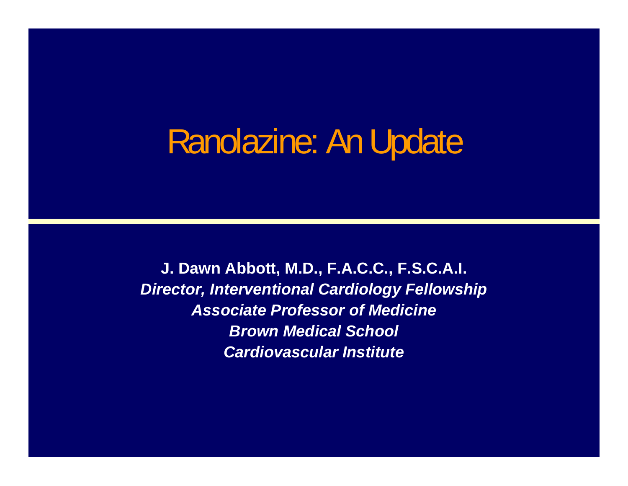# Ranolazine: An Update

**J. Dawn Abbott, M.D., F.A.C.C., F.S.C.A.I.** *Director, Interventional Cardiology Fellowship Associate Professor of Medicine Brown Medical School Cardiovascular Institute*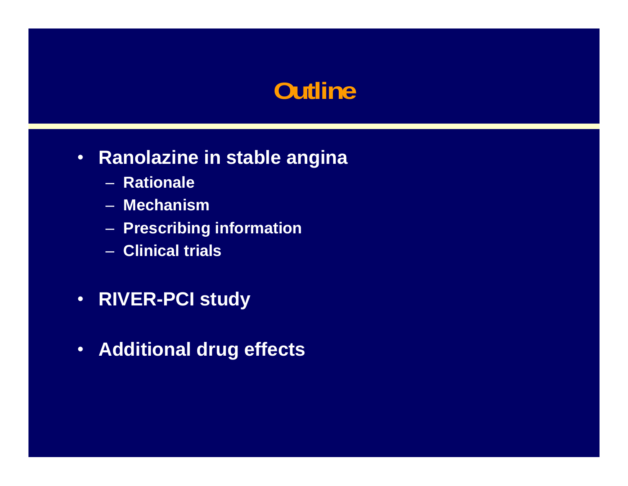## **Outline**

#### • **Ranolazine in stable angina**

- **Rationale**
- **Mechanism**
- **Prescribing information**
- **Clinical trials**
- **RIVER-PCI study**
- $\bullet$ **Additional drug effects**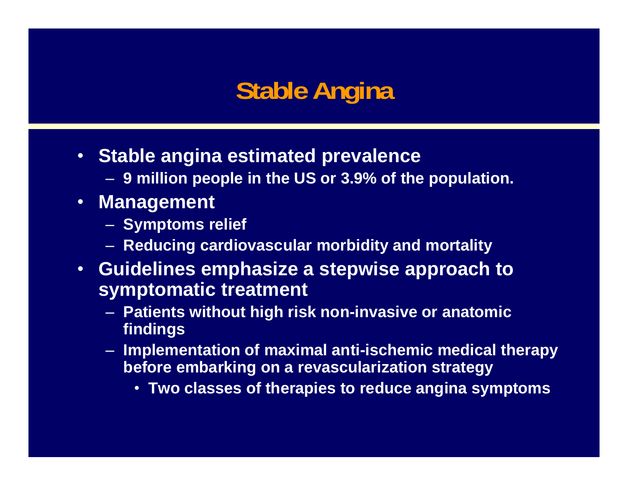# **Stable Angina**

- **Stable angina estimated prevalence**
	- **9 million people in the US or 3.9% of the population.**
- **Management**
	- **Symptoms relief**
	- **Reducing cardiovascular morbidity and mortality**
- **Guidelines emphasize a stepwise approach to symptomatic treatment** 
	- **Patients without high risk non-invasive or anatomic findings**
	- **Implementation of maximal anti-ischemic medical therapy before embarking on a revascularization strategy**
		- **Two classes of therapies to reduce angina symptoms**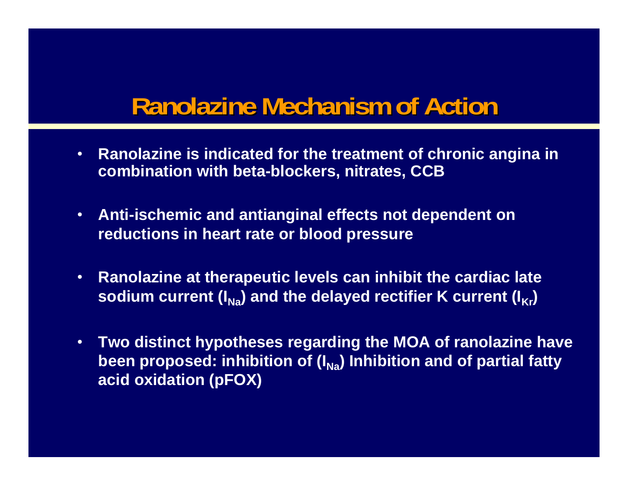## **Ranolazine Mechanism of Action**

- **Ranolazine is indicated for the treatment of chronic angina in combination with beta-blockers, nitrates, CCB**
- **Anti-ischemic and antianginal effects not dependent on reductions in heart rate or blood pressure**
- $\bullet$  **Ranolazine at therapeutic levels can inhibit the cardiac late**  sodium current (I<sub>Na</sub>) and the delayed rectifier K current (I<sub>Kr</sub>)
- **Two distinct hypotheses regarding the MOA of ranolazine have**  been proposed: inhibition of (I<sub>Na</sub>) Inhibition and of partial fatty **acid oxidation (pFOX)**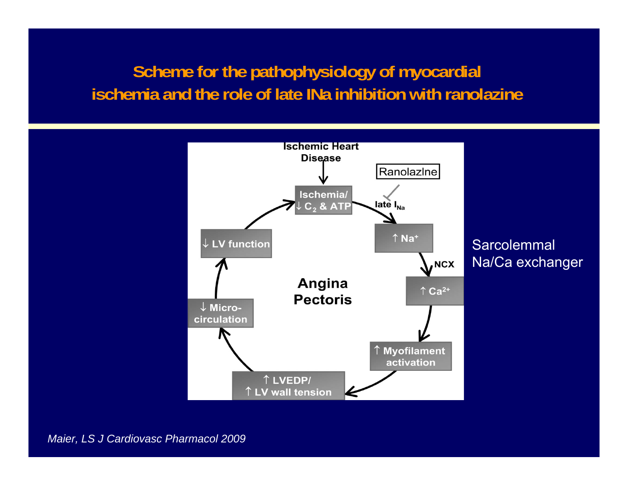#### **Scheme for the pathophysiology of myocardial ischemia and the role of late INa inhibition with ranolazine**



*Maier, LS J Cardiovasc Pharmacol 2009*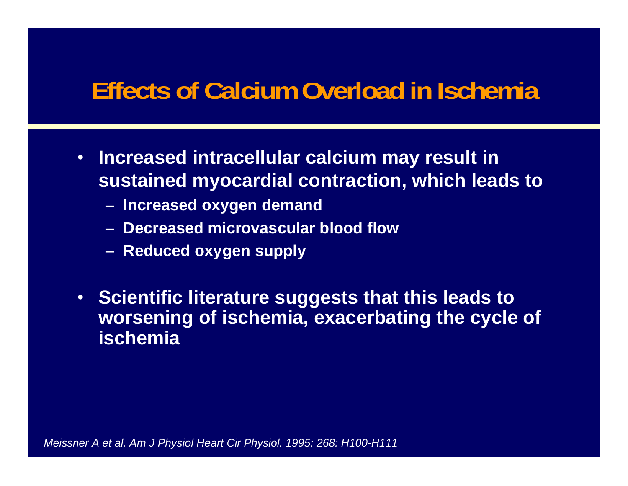### **Effects of Calcium Overload in Ischemia**

- **Increased intracellular calcium may result in sustained myocardial contraction, which leads to** 
	- **Increased oxygen demand**
	- **Decreased microvascular blood flow**
	- **Reduced oxygen supply**
- **Scientific literature suggests that this leads to worsening of ischemia, exacerbating the cycle of ischemia**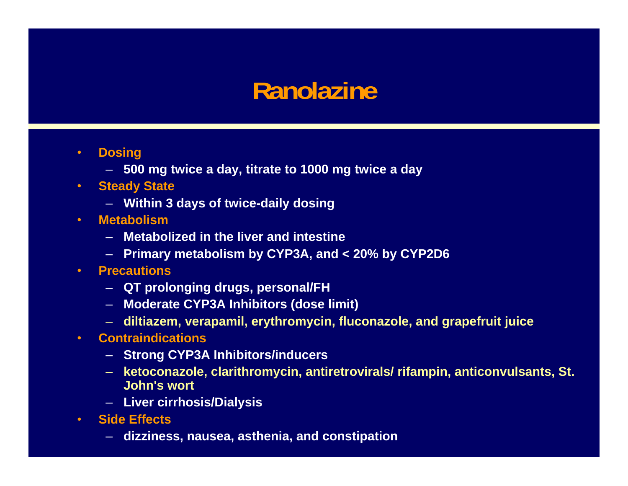#### **Ranolazine**

- • **Dosing**
	- **500 mg twice a day, titrate to 1000 mg twice a day**
- **Steady State**
	- **Within 3 days of twice-daily dosing**
- • **Metabolism**
	- **Metabolized in the liver and intestine**
	- **Primary metabolism by CYP3A, and < 20% by CYP2D6**
- • **Precautions**
	- **QT prolonging drugs, personal/FH**
	- **Moderate CYP3A Inhibitors (dose limit)**
	- **diltiazem, verapamil, erythromycin, fluconazole, and grapefruit juice**
- **Contraindications**
	- **Strong CYP3A Inhibitors/inducers**
	- **ketoconazole, clarithromycin, antiretrovirals/ rifampin, anticonvulsants, St. John's wort**
	- **Liver cirrhosis/Dialysis**
- **Side Effects**
	- **dizziness, nausea, asthenia, and constipation**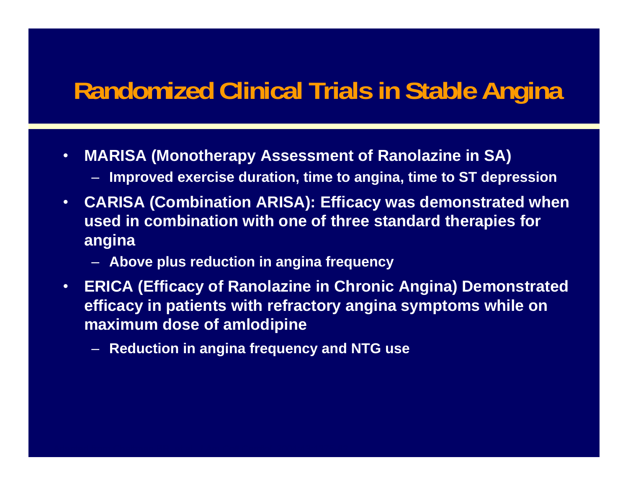### **Randomized Clinical Trials in Stable Angina**

- • **MARISA (Monotherapy Assessment of Ranolazine in SA)**
	- **Improved exercise duration, time to angina, time to ST depression**
- $\bullet$  **CARISA (Combination ARISA): Efficacy was demonstrated when used in combination with one of three standard therapies for angina**
	- **Above plus reduction in angina frequency**
- • **ERICA (Efficacy of Ranolazine in Chronic Angina) Demonstrated efficacy in patients with refractory angina symptoms while on maximum dose of amlodipine**
	- **Reduction in angina frequency and NTG use**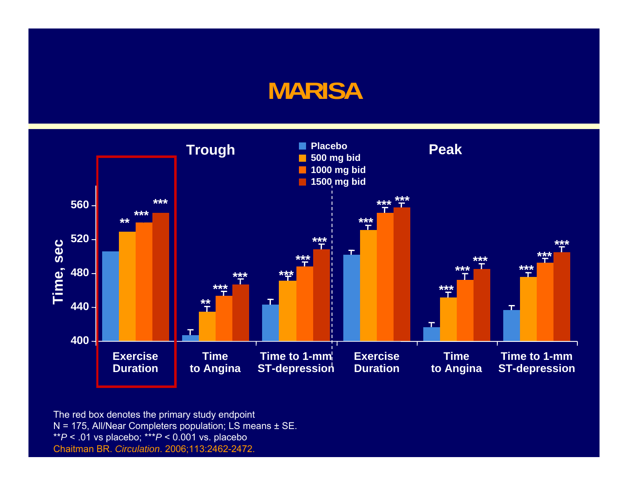#### **MARISA**



The red box denotes the primary study endpoint N = 175, All/Near Completers population; LS means ± SE. \*\**P* < .01 vs placebo; \*\*\**P* < 0.001 vs. placebo Chaitman BR. *Circulation*. 2006;113:2462-2472.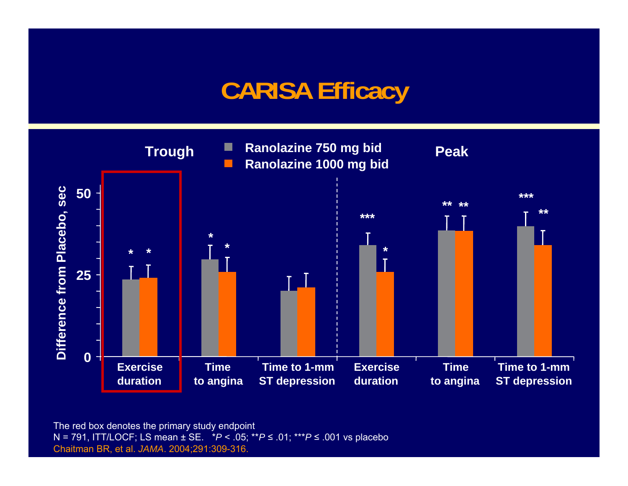## **CARISA Efficacy**



The red box denotes the primary study endpoint N = 791, ITT/LOCF; LS mean ± SE. \**P* < .05; \*\**P* <sup>≤</sup> .01; \*\*\**P* <sup>≤</sup> .001 vs placebo Chaitman BR, et al. *JAMA*. 2004;291:309-316.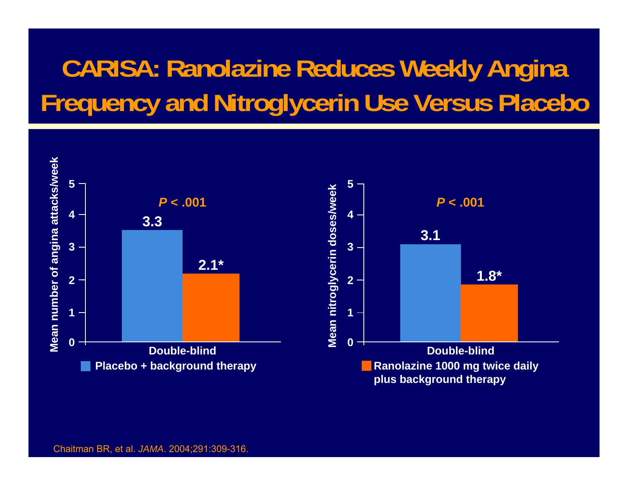# **CARISA: Ranolazine Reduces Weekly Angina Frequency and Nitroglycerin Use Versus Placebo**

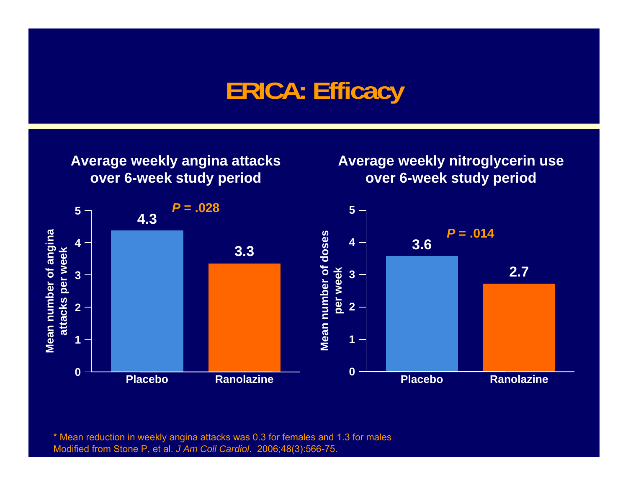### **ERICA: Efficacy**



**Average weekly nitroglycerin use over 6-week study period**



\* Mean reduction in weekly angina attacks was 0.3 for females and 1.3 for males Modified from Stone P, et al. *J Am Coll Cardiol*. 2006;48(3):566-75.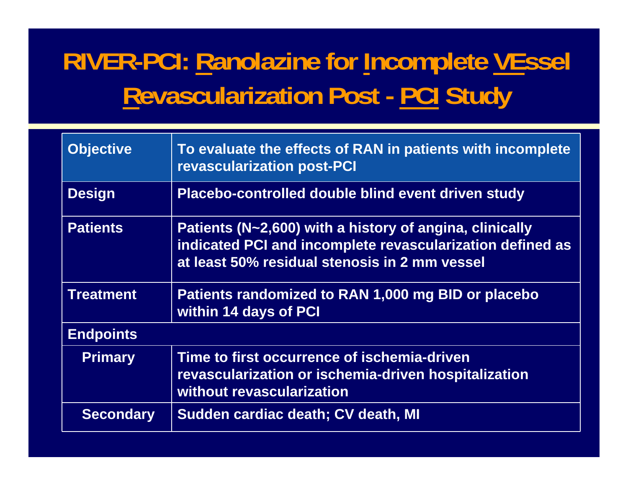# **RIVER-PCI: Ranolazine for Incomplete VEssel Revascularization Post - PCI Study**

| <b>Objective</b> | To evaluate the effects of RAN in patients with incomplete<br><b>revascularization post-PCI</b>                                                                       |
|------------------|-----------------------------------------------------------------------------------------------------------------------------------------------------------------------|
| <b>Design</b>    | Placebo-controlled double blind event driven study                                                                                                                    |
| <b>Patients</b>  | Patients (N~2,600) with a history of angina, clinically<br>indicated PCI and incomplete revascularization defined as<br>at least 50% residual stenosis in 2 mm vessel |
| <b>Treatment</b> | Patients randomized to RAN 1,000 mg BID or placebo<br>within 14 days of PCI                                                                                           |
| <b>Endpoints</b> |                                                                                                                                                                       |
| <b>Primary</b>   | Time to first occurrence of ischemia-driven<br>revascularization or ischemia-driven hospitalization<br>without revascularization                                      |
| <b>Secondary</b> | Sudden cardiac death; CV death, MI                                                                                                                                    |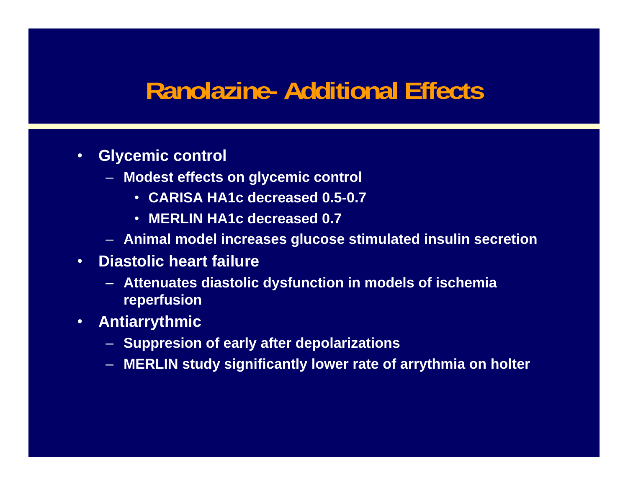#### **Ranolazine- Additional Effects**

- $\bullet$  **Glycemic control**
	- **Modest effects on glycemic control**
		- **CARISA HA1c decreased 0.5-0.7**
		- **MERLIN HA1c decreased 0.7**
	- **Animal model increases glucose stimulated insulin secretion**
- **Diastolic heart failure**
	- **Attenuates diastolic dysfunction in models of ischemia reperfusion**
- **Antiarrythmic**
	- **Suppresion of early after depolarizations**
	- **MERLIN study significantly lower rate of arrythmia on holter**